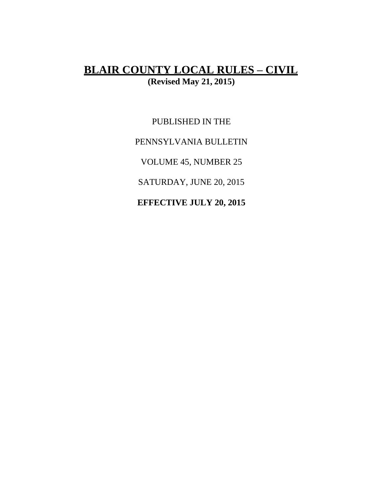# **BLAIR COUNTY LOCAL RULES – CIVIL (Revised May 21, 2015)**

PUBLISHED IN THE PENNSYLVANIA BULLETIN VOLUME 45, NUMBER 25 SATURDAY, JUNE 20, 2015 **EFFECTIVE JULY 20, 2015**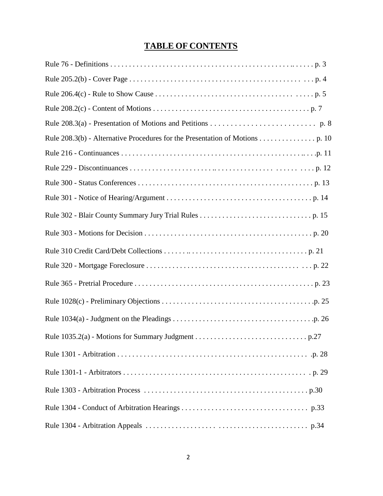# **TABLE OF CONTENTS**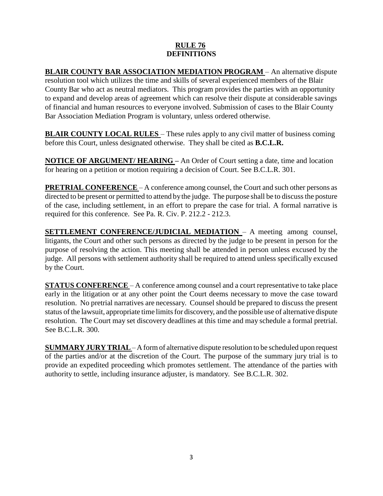### **RULE 76 DEFINITIONS**

**BLAIR COUNTY BAR ASSOCIATION MEDIATION PROGRAM** – An alternative dispute resolution tool which utilizes the time and skills of several experienced members of the Blair County Bar who act as neutral mediators. This program provides the parties with an opportunity to expand and develop areas of agreement which can resolve their dispute at considerable savings of financial and human resources to everyone involved. Submission of cases to the Blair County Bar Association Mediation Program is voluntary, unless ordered otherwise.

**BLAIR COUNTY LOCAL RULES** – These rules apply to any civil matter of business coming before this Court, unless designated otherwise. They shall be cited as **B.C.L.R.**

**NOTICE OF ARGUMENT/ HEARING –** An Order of Court setting a date, time and location for hearing on a petition or motion requiring a decision of Court. See B.C.L.R. 301.

**PRETRIAL CONFERENCE** – A conference among counsel, the Court and such other persons as directed to be present or permitted to attend by the judge. The purpose shall be to discuss the posture of the case, including settlement, in an effort to prepare the case for trial. A formal narrative is required for this conference. See Pa. R. Civ. P. 212.2 - 212.3.

**SETTLEMENT CONFERENCE/JUDICIAL MEDIATION** – A meeting among counsel, litigants, the Court and other such persons as directed by the judge to be present in person for the purpose of resolving the action. This meeting shall be attended in person unless excused by the judge. All persons with settlement authority shall be required to attend unless specifically excused by the Court.

**STATUS CONFERENCE** – A conference among counsel and a court representative to take place early in the litigation or at any other point the Court deems necessary to move the case toward resolution. No pretrial narratives are necessary. Counsel should be prepared to discuss the present status of the lawsuit, appropriate time limits for discovery, and the possible use of alternative dispute resolution. The Court may set discovery deadlines at this time and may schedule a formal pretrial. See B.C.L.R. 300.

**SUMMARYJURY TRIAL**– A form of alternative dispute resolution to be scheduled upon request of the parties and/or at the discretion of the Court. The purpose of the summary jury trial is to provide an expedited proceeding which promotes settlement. The attendance of the parties with authority to settle, including insurance adjuster, is mandatory. See B.C.L.R. 302.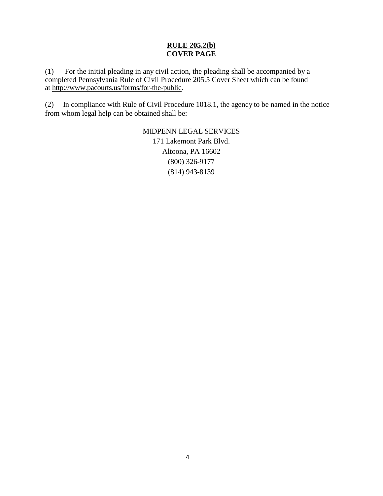### **RULE 205.2(b) COVER PAGE**

(1) For the initial pleading in any civil action, the pleading shall be accompanied by a completed Pennsylvania Rule of Civil Procedure 205.5 Cover Sheet which can be found at http://www.pacourts.us/forms/for-the-public.

(2) In compliance with Rule of Civil Procedure 1018.1, the agency to be named in the notice from whom legal help can be obtained shall be:

> MIDPENN LEGAL SERVICES 171 Lakemont Park Blvd. Altoona, PA 16602 (800) 326-9177 (814) 943-8139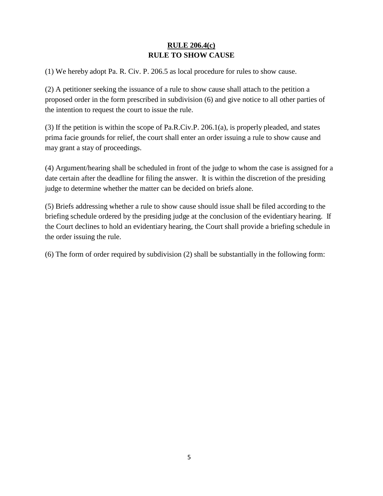## **RULE 206.4(c) RULE TO SHOW CAUSE**

(1) We hereby adopt Pa. R. Civ. P. 206.5 as local procedure for rules to show cause.

(2) A petitioner seeking the issuance of a rule to show cause shall attach to the petition a proposed order in the form prescribed in subdivision (6) and give notice to all other parties of the intention to request the court to issue the rule.

(3) If the petition is within the scope of Pa.R.Civ.P. 206.1(a), is properly pleaded, and states prima facie grounds for relief, the court shall enter an order issuing a rule to show cause and may grant a stay of proceedings.

(4) Argument/hearing shall be scheduled in front of the judge to whom the case is assigned for a date certain after the deadline for filing the answer. It is within the discretion of the presiding judge to determine whether the matter can be decided on briefs alone.

(5) Briefs addressing whether a rule to show cause should issue shall be filed according to the briefing schedule ordered by the presiding judge at the conclusion of the evidentiary hearing. If the Court declines to hold an evidentiary hearing, the Court shall provide a briefing schedule in the order issuing the rule.

(6) The form of order required by subdivision (2) shall be substantially in the following form: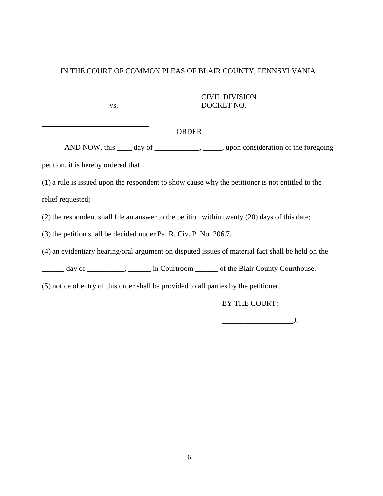CIVIL DIVISION vs. DOCKET NO.

#### ORDER

AND NOW, this \_\_\_\_ day of \_\_\_\_\_\_\_\_\_\_\_, \_\_\_\_\_, upon consideration of the foregoing

petition, it is hereby ordered that

l

l

(1) a rule is issued upon the respondent to show cause why the petitioner is not entitled to the relief requested;

(2) the respondent shall file an answer to the petition within twenty (20) days of this date;

(3) the petition shall be decided under Pa. R. Civ. P. No. 206.7.

(4) an evidentiary hearing/oral argument on disputed issues of material fact shall be held on the

\_\_\_\_\_\_ day of \_\_\_\_\_\_\_\_\_\_, \_\_\_\_\_\_ in Courtroom \_\_\_\_\_\_ of the Blair County Courthouse.

(5) notice of entry of this order shall be provided to all parties by the petitioner.

BY THE COURT:

 $J.$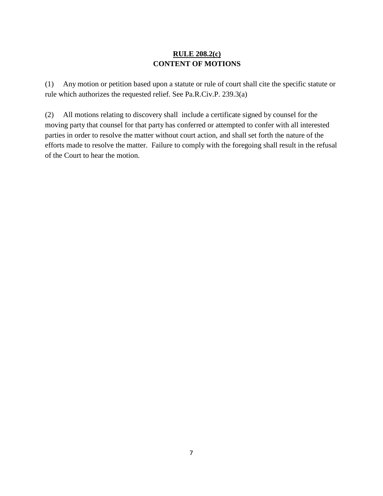## **RULE 208.2(c) CONTENT OF MOTIONS**

(1) Any motion or petition based upon a statute or rule of court shall cite the specific statute or rule which authorizes the requested relief. See Pa.R.Civ.P. 239.3(a)

(2) All motions relating to discovery shall include a certificate signed by counsel for the moving party that counsel for that party has conferred or attempted to confer with all interested parties in order to resolve the matter without court action, and shall set forth the nature of the efforts made to resolve the matter. Failure to comply with the foregoing shall result in the refusal of the Court to hear the motion.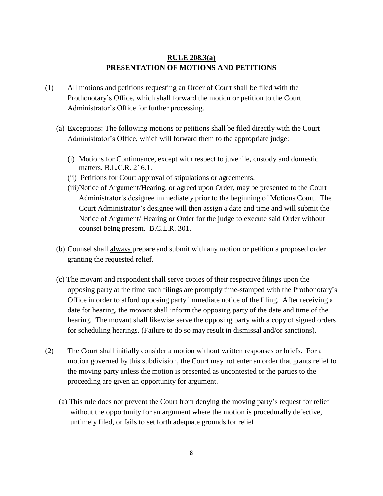### **RULE 208.3(a) PRESENTATION OF MOTIONS AND PETITIONS**

- (1) All motions and petitions requesting an Order of Court shall be filed with the Prothonotary's Office, which shall forward the motion or petition to the Court Administrator's Office for further processing.
	- (a) Exceptions: The following motions or petitions shall be filed directly with the Court Administrator's Office, which will forward them to the appropriate judge:
		- (i) Motions for Continuance, except with respect to juvenile, custody and domestic matters. B.L.C.R. 216.1.
		- (ii) Petitions for Court approval of stipulations or agreements.
		- (iii)Notice of Argument/Hearing, or agreed upon Order, may be presented to the Court Administrator's designee immediately prior to the beginning of Motions Court. The Court Administrator's designee will then assign a date and time and will submit the Notice of Argument/ Hearing or Order for the judge to execute said Order without counsel being present. B.C.L.R. 301.
	- (b) Counsel shall always prepare and submit with any motion or petition a proposed order granting the requested relief.
	- (c) The movant and respondent shall serve copies of their respective filings upon the opposing party at the time such filings are promptly time-stamped with the Prothonotary's Office in order to afford opposing party immediate notice of the filing. After receiving a date for hearing, the movant shall inform the opposing party of the date and time of the hearing. The movant shall likewise serve the opposing party with a copy of signed orders for scheduling hearings. (Failure to do so may result in dismissal and/or sanctions).
- (2) The Court shall initially consider a motion without written responses or briefs. For a motion governed by this subdivision, the Court may not enter an order that grants relief to the moving party unless the motion is presented as uncontested or the parties to the proceeding are given an opportunity for argument.
	- (a) This rule does not prevent the Court from denying the moving party's request for relief without the opportunity for an argument where the motion is procedurally defective, untimely filed, or fails to set forth adequate grounds for relief.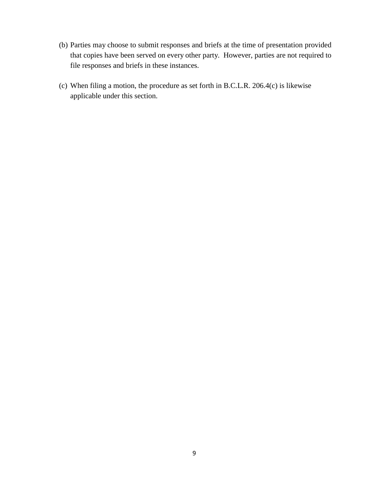- (b) Parties may choose to submit responses and briefs at the time of presentation provided that copies have been served on every other party. However, parties are not required to file responses and briefs in these instances.
- (c) When filing a motion, the procedure as set forth in B.C.L.R. 206.4(c) is likewise applicable under this section.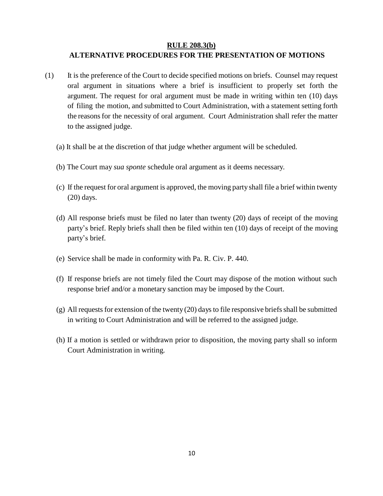#### **RULE 208.3(b)**

### **ALTERNATIVE PROCEDURES FOR THE PRESENTATION OF MOTIONS**

- (1) It is the preference of the Court to decide specified motions on briefs. Counsel may request oral argument in situations where a brief is insufficient to properly set forth the argument. The request for oral argument must be made in writing within ten (10) days of filing the motion, and submitted to Court Administration, with a statement setting forth the reasonsfor the necessity of oral argument. Court Administration shall refer the matter to the assigned judge.
	- (a) It shall be at the discretion of that judge whether argument will be scheduled.
	- (b) The Court may *sua sponte* schedule oral argument as it deems necessary.
	- (c) If the request for oral argument is approved, the moving partyshall file a brief within twenty (20) days.
	- (d) All response briefs must be filed no later than twenty (20) days of receipt of the moving party's brief. Reply briefs shall then be filed within ten (10) days of receipt of the moving party's brief.
	- (e) Service shall be made in conformity with Pa. R. Civ. P. 440.
	- (f) If response briefs are not timely filed the Court may dispose of the motion without such response brief and/or a monetary sanction may be imposed by the Court.
	- $(g)$  All requests for extension of the twenty (20) days to file responsive briefs shall be submitted in writing to Court Administration and will be referred to the assigned judge.
	- (h) If a motion is settled or withdrawn prior to disposition, the moving party shall so inform Court Administration in writing.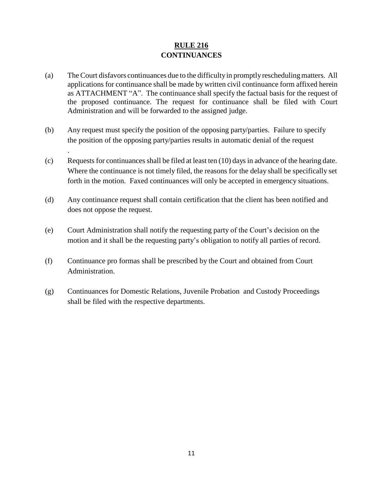## **RULE 216 CONTINUANCES**

- (a) TheCourt disfavors continuances due to the difficultyin promptlyreschedulingmatters. All applications for continuance shall be made by written civil continuance form affixed herein as ATTACHMENT "A". The continuance shall specify the factual basis for the request of the proposed continuance. The request for continuance shall be filed with Court Administration and will be forwarded to the assigned judge.
- (b) Any request must specify the position of the opposing party/parties. Failure to specify the position of the opposing party/parties results in automatic denial of the request

.

- (c) Requests for continuances shall be filed at least ten (10) daysin advance of the hearing date. Where the continuance is not timely filed, the reasons for the delay shall be specifically set forth in the motion. Faxed continuances will only be accepted in emergency situations.
- (d) Any continuance request shall contain certification that the client has been notified and does not oppose the request.
- (e) Court Administration shall notify the requesting party of the Court's decision on the motion and it shall be the requesting party's obligation to notify all parties of record.
- (f) Continuance pro formas shall be prescribed by the Court and obtained from Court Administration.
- (g) Continuances for Domestic Relations, Juvenile Probation and Custody Proceedings shall be filed with the respective departments.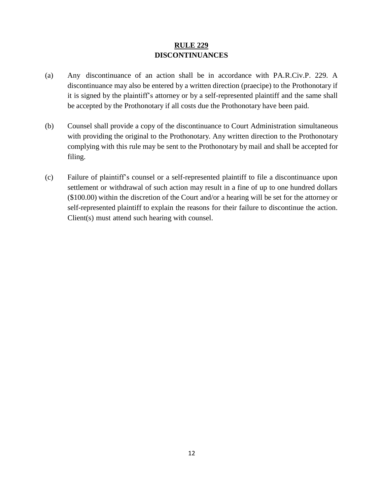## **RULE 229 DISCONTINUANCES**

- (a) Any discontinuance of an action shall be in accordance with PA.R.Civ.P. 229. A discontinuance may also be entered by a written direction (praecipe) to the Prothonotary if it is signed by the plaintiff's attorney or by a self-represented plaintiff and the same shall be accepted by the Prothonotary if all costs due the Prothonotary have been paid.
- (b) Counsel shall provide a copy of the discontinuance to Court Administration simultaneous with providing the original to the Prothonotary. Any written direction to the Prothonotary complying with this rule may be sent to the Prothonotary by mail and shall be accepted for filing.
- (c) Failure of plaintiff's counsel or a self-represented plaintiff to file a discontinuance upon settlement or withdrawal of such action may result in a fine of up to one hundred dollars (\$100.00) within the discretion of the Court and/or a hearing will be set for the attorney or self-represented plaintiff to explain the reasons for their failure to discontinue the action. Client(s) must attend such hearing with counsel.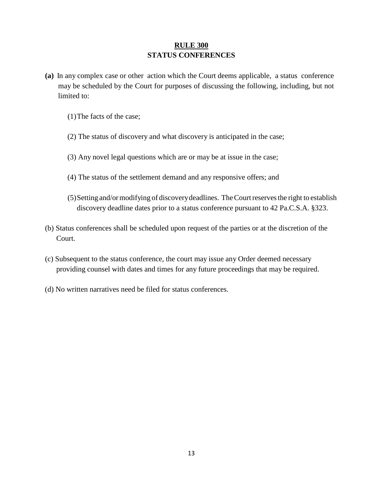### **RULE 300 STATUS CONFERENCES**

- **(a)** In any complex case or other action which the Court deems applicable, a status conference may be scheduled by the Court for purposes of discussing the following, including, but not limited to:
	- (1)The facts of the case;
	- (2) The status of discovery and what discovery is anticipated in the case;
	- (3) Any novel legal questions which are or may be at issue in the case;
	- (4) The status of the settlement demand and any responsive offers; and
	- (5)Setting and/ormodifying of discoverydeadlines. TheCourtreservesthe right to establish discovery deadline dates prior to a status conference pursuant to 42 Pa.C.S.A. §323.
- (b) Status conferences shall be scheduled upon request of the parties or at the discretion of the Court.
- (c) Subsequent to the status conference, the court may issue any Order deemed necessary providing counsel with dates and times for any future proceedings that may be required.
- (d) No written narratives need be filed for status conferences.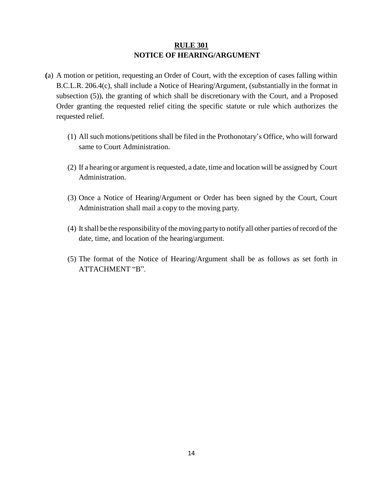## **RULE 301 NOTICE OF HEARING/ARGUMENT**

- **(**a) A motion or petition, requesting an Order of Court, with the exception of cases falling within B.C.L.R. 206.4(c), shall include a Notice of Hearing/Argument, (substantially in the format in subsection (5)), the granting of which shall be discretionary with the Court, and a Proposed Order granting the requested relief citing the specific statute or rule which authorizes the requested relief.
	- (1) All such motions/petitions shall be filed in the Prothonotary's Office, who will forward same to Court Administration.
	- (2) If a hearing or argument is requested, a date, time and location will be assigned by Court Administration.
	- (3) Once a Notice of Hearing/Argument or Order has been signed by the Court, Court Administration shall mail a copy to the moving party.
	- (4) Itshall be the responsibility of the moving partyto notify all other parties ofrecord of the date, time, and location of the hearing/argument.
	- (5) The format of the Notice of Hearing/Argument shall be as follows as set forth in ATTACHMENT "B".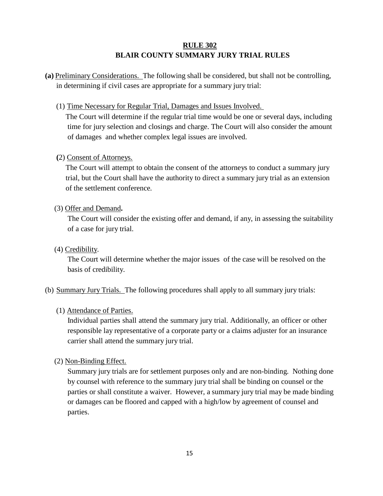## **RULE 302 BLAIR COUNTY SUMMARY JURY TRIAL RULES**

- **(a)** Preliminary Considerations. The following shall be considered, but shall not be controlling, in determining if civil cases are appropriate for a summary jury trial:
	- (1) Time Necessary for Regular Trial, Damages and Issues Involved.

The Court will determine if the regular trial time would be one or several days, including time for jury selection and closings and charge. The Court will also consider the amount of damages and whether complex legal issues are involved.

## **(**2) Consent of Attorneys.

The Court will attempt to obtain the consent of the attorneys to conduct a summary jury trial, but the Court shall have the authority to direct a summary jury trial as an extension of the settlement conference.

### (3) Offer and Demand**.**

The Court will consider the existing offer and demand, if any, in assessing the suitability of a case for jury trial.

## (4) Credibility.

The Court will determine whether the major issues of the case will be resolved on the basis of credibility.

## (b) Summary Jury Trials. The following procedures shall apply to all summary jury trials:

(1) Attendance of Parties.

Individual parties shall attend the summary jury trial. Additionally, an officer or other responsible lay representative of a corporate party or a claims adjuster for an insurance carrier shall attend the summary jury trial.

(2) Non-Binding Effect.

Summary jury trials are for settlement purposes only and are non-binding. Nothing done by counsel with reference to the summary jury trial shall be binding on counsel or the parties or shall constitute a waiver. However, a summary jury trial may be made binding or damages can be floored and capped with a high/low by agreement of counsel and parties.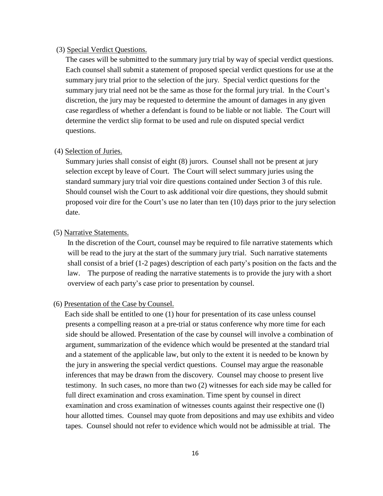#### (3) Special Verdict Questions.

The cases will be submitted to the summary jury trial by way of special verdict questions. Each counsel shall submit a statement of proposed special verdict questions for use at the summary jury trial prior to the selection of the jury. Special verdict questions for the summary jury trial need not be the same as those for the formal jury trial. In the Court's discretion, the jury may be requested to determine the amount of damages in any given case regardless of whether a defendant is found to be liable or not liable. The Court will determine the verdict slip format to be used and rule on disputed special verdict questions.

#### (4) Selection of Juries.

Summary juries shall consist of eight (8) jurors. Counsel shall not be present at jury selection except by leave of Court. The Court will select summary juries using the standard summary jury trial voir dire questions contained under Section 3 of this rule. Should counsel wish the Court to ask additional voir dire questions, they should submit proposed voir dire for the Court's use no later than ten (10) days prior to the jury selection date.

#### (5) Narrative Statements.

In the discretion of the Court, counsel may be required to file narrative statements which will be read to the jury at the start of the summary jury trial. Such narrative statements shall consist of a brief (1-2 pages) description of each party's position on the facts and the law. The purpose of reading the narrative statements is to provide the jury with a short overview of each party's case prior to presentation by counsel.

#### (6) Presentation of the Case by Counsel.

Each side shall be entitled to one (1) hour for presentation of its case unless counsel presents a compelling reason at a pre-trial or status conference why more time for each side should be allowed. Presentation of the case by counsel will involve a combination of argument, summarization of the evidence which would be presented at the standard trial and a statement of the applicable law, but only to the extent it is needed to be known by the jury in answering the special verdict questions. Counsel may argue the reasonable inferences that may be drawn from the discovery. Counsel may choose to present live testimony. In such cases, no more than two (2) witnesses for each side may be called for full direct examination and cross examination. Time spent by counsel in direct examination and cross examination of witnesses counts against their respective one (l) hour allotted times. Counsel may quote from depositions and may use exhibits and video tapes. Counsel should not refer to evidence which would not be admissible at trial. The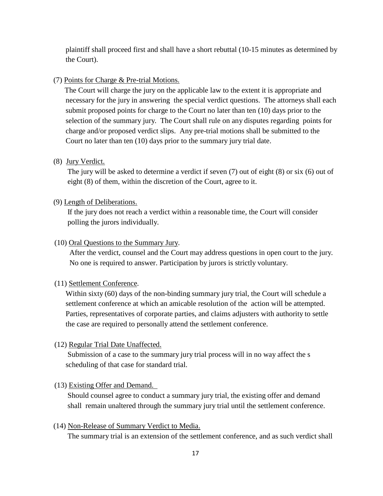plaintiff shall proceed first and shall have a short rebuttal (10-15 minutes as determined by the Court).

(7) Points for Charge & Pre-trial Motions.

The Court will charge the jury on the applicable law to the extent it is appropriate and necessary for the jury in answering the special verdict questions. The attorneys shall each submit proposed points for charge to the Court no later than ten (10) days prior to the selection of the summary jury. The Court shall rule on any disputes regarding points for charge and/or proposed verdict slips. Any pre-trial motions shall be submitted to the Court no later than ten (10) days prior to the summary jury trial date.

#### (8) Jury Verdict.

The jury will be asked to determine a verdict if seven (7) out of eight (8) or six (6) out of eight (8) of them, within the discretion of the Court, agree to it.

#### (9) Length of Deliberations.

If the jury does not reach a verdict within a reasonable time, the Court will consider polling the jurors individually.

#### (10) Oral Questions to the Summary Jury.

After the verdict, counsel and the Court may address questions in open court to the jury. No one is required to answer. Participation by jurors is strictly voluntary.

#### (11) Settlement Conference.

Within sixty (60) days of the non-binding summary jury trial, the Court will schedule a settlement conference at which an amicable resolution of the action will be attempted. Parties, representatives of corporate parties, and claims adjusters with authority to settle the case are required to personally attend the settlement conference.

#### (12) Regular Trial Date Unaffected.

Submission of a case to the summary jury trial process will in no way affect the s scheduling of that case for standard trial.

#### (13) Existing Offer and Demand.

Should counsel agree to conduct a summary jury trial, the existing offer and demand shall remain unaltered through the summary jury trial until the settlement conference.

(14) Non-Release of Summary Verdict to Media.

The summary trial is an extension of the settlement conference, and as such verdict shall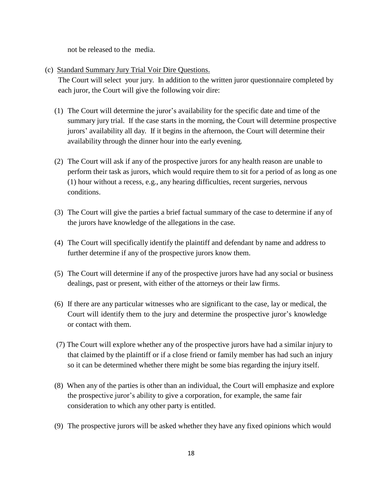not be released to the media.

(c) Standard Summary Jury Trial Voir Dire Questions.

The Court will select your jury. In addition to the written juror questionnaire completed by each juror, the Court will give the following voir dire:

- (1) The Court will determine the juror's availability for the specific date and time of the summary jury trial. If the case starts in the morning, the Court will determine prospective jurors' availability all day. If it begins in the afternoon, the Court will determine their availability through the dinner hour into the early evening.
- (2) The Court will ask if any of the prospective jurors for any health reason are unable to perform their task as jurors, which would require them to sit for a period of as long as one (1) hour without a recess, e.g., any hearing difficulties, recent surgeries, nervous conditions.
- (3) The Court will give the parties a brief factual summary of the case to determine if any of the jurors have knowledge of the allegations in the case.
- (4) The Court will specifically identify the plaintiff and defendant by name and address to further determine if any of the prospective jurors know them.
- (5) The Court will determine if any of the prospective jurors have had any social or business dealings, past or present, with either of the attorneys or their law firms.
- (6) If there are any particular witnesses who are significant to the case, lay or medical, the Court will identify them to the jury and determine the prospective juror's knowledge or contact with them.
- (7) The Court will explore whether any of the prospective jurors have had a similar injury to that claimed by the plaintiff or if a close friend or family member has had such an injury so it can be determined whether there might be some bias regarding the injury itself.
- (8) When any of the parties is other than an individual, the Court will emphasize and explore the prospective juror's ability to give a corporation, for example, the same fair consideration to which any other party is entitled.
- (9) The prospective jurors will be asked whether they have any fixed opinions which would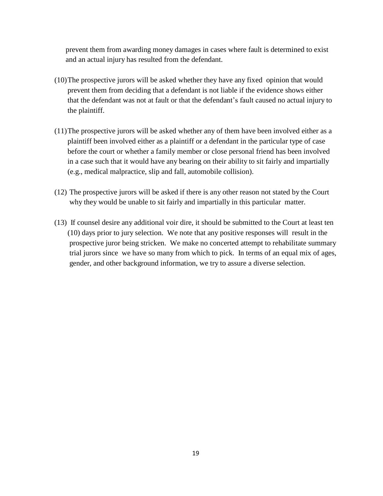prevent them from awarding money damages in cases where fault is determined to exist and an actual injury has resulted from the defendant.

- (10)The prospective jurors will be asked whether they have any fixed opinion that would prevent them from deciding that a defendant is not liable if the evidence shows either that the defendant was not at fault or that the defendant's fault caused no actual injury to the plaintiff.
- (11)The prospective jurors will be asked whether any of them have been involved either as a plaintiff been involved either as a plaintiff or a defendant in the particular type of case before the court or whether a family member or close personal friend has been involved in a case such that it would have any bearing on their ability to sit fairly and impartially (e.g., medical malpractice, slip and fall, automobile collision).
- (12) The prospective jurors will be asked if there is any other reason not stated by the Court why they would be unable to sit fairly and impartially in this particular matter.
- (13) If counsel desire any additional voir dire, it should be submitted to the Court at least ten (10) days prior to jury selection. We note that any positive responses will result in the prospective juror being stricken. We make no concerted attempt to rehabilitate summary trial jurors since we have so many from which to pick. In terms of an equal mix of ages, gender, and other background information, we try to assure a diverse selection.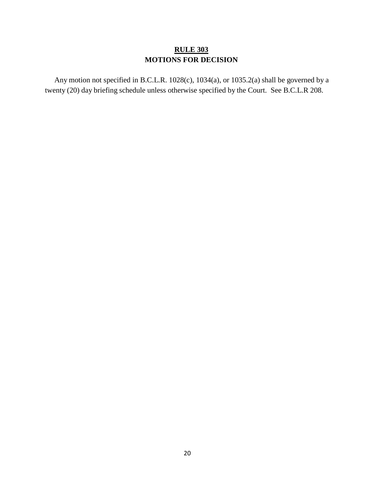## **RULE 303 MOTIONS FOR DECISION**

Any motion not specified in B.C.L.R. 1028(c), 1034(a), or 1035.2(a) shall be governed by a twenty (20) day briefing schedule unless otherwise specified by the Court. See B.C.L.R 208.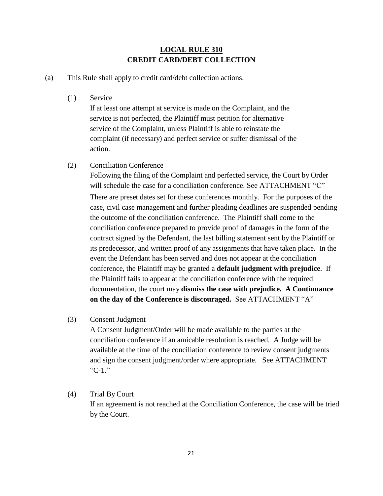## **LOCAL RULE 310 CREDIT CARD/DEBT COLLECTION**

(a) This Rule shall apply to credit card/debt collection actions.

(1) Service

If at least one attempt at service is made on the Complaint, and the service is not perfected, the Plaintiff must petition for alternative service of the Complaint, unless Plaintiff is able to reinstate the complaint (if necessary) and perfect service or suffer dismissal of the action.

(2) Conciliation Conference

Following the filing of the Complaint and perfected service, the Court by Order will schedule the case for a conciliation conference. See ATTACHMENT "C" There are preset dates set for these conferences monthly. For the purposes of the case, civil case management and further pleading deadlines are suspended pending the outcome of the conciliation conference. The Plaintiff shall come to the conciliation conference prepared to provide proof of damages in the form of the contract signed by the Defendant, the last billing statement sent by the Plaintiff or its predecessor, and written proof of any assignments that have taken place. In the event the Defendant has been served and does not appear at the conciliation conference, the Plaintiff may be granted a **default judgment with prejudice**. If the Plaintiff fails to appear at the conciliation conference with the required documentation, the court may **dismiss the case with prejudice. A Continuance on the day of the Conference is discouraged.** See ATTACHMENT "A"

#### (3) Consent Judgment

A Consent Judgment/Order will be made available to the parties at the conciliation conference if an amicable resolution is reached. A Judge will be available at the time of the conciliation conference to review consent judgments and sign the consent judgment/order where appropriate. See ATTACHMENT "C-1."

#### (4) Trial By Court

If an agreement is not reached at the Conciliation Conference, the case will be tried by the Court.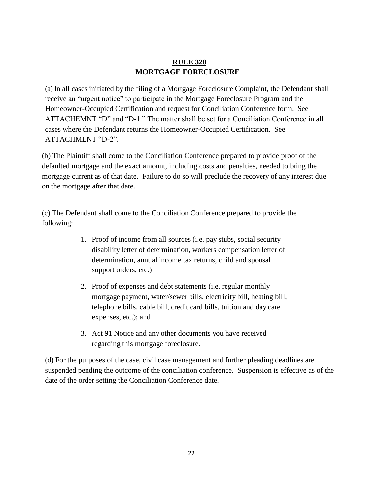## **RULE 320 MORTGAGE FORECLOSURE**

(a) In all cases initiated by the filing of a Mortgage Foreclosure Complaint, the Defendant shall receive an "urgent notice" to participate in the Mortgage Foreclosure Program and the Homeowner-Occupied Certification and request for Conciliation Conference form. See ATTACHEMNT "D" and "D-1." The matter shall be set for a Conciliation Conference in all cases where the Defendant returns the Homeowner-Occupied Certification. See ATTACHMENT "D-2".

(b) The Plaintiff shall come to the Conciliation Conference prepared to provide proof of the defaulted mortgage and the exact amount, including costs and penalties, needed to bring the mortgage current as of that date. Failure to do so will preclude the recovery of any interest due on the mortgage after that date.

(c) The Defendant shall come to the Conciliation Conference prepared to provide the following:

- 1. Proof of income from all sources (i.e. pay stubs, social security disability letter of determination, workers compensation letter of determination, annual income tax returns, child and spousal support orders, etc.)
- 2. Proof of expenses and debt statements (i.e. regular monthly mortgage payment, water/sewer bills, electricity bill, heating bill, telephone bills, cable bill, credit card bills, tuition and day care expenses, etc.); and
- 3. Act 91 Notice and any other documents you have received regarding this mortgage foreclosure.

(d) For the purposes of the case, civil case management and further pleading deadlines are suspended pending the outcome of the conciliation conference. Suspension is effective as of the date of the order setting the Conciliation Conference date.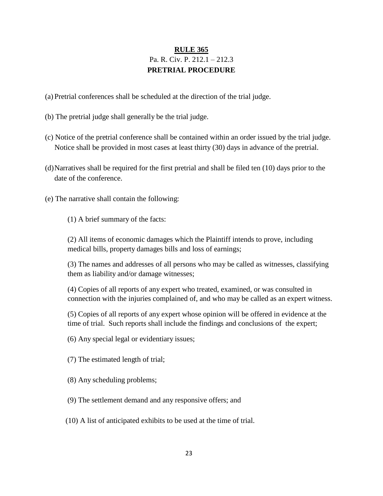## **RULE 365** Pa. R. Civ. P. 212.1 – 212.3 **PRETRIAL PROCEDURE**

- (a) Pretrial conferences shall be scheduled at the direction of the trial judge.
- (b) The pretrial judge shall generally be the trial judge.
- (c) Notice of the pretrial conference shall be contained within an order issued by the trial judge. Notice shall be provided in most cases at least thirty (30) days in advance of the pretrial.
- (d)Narratives shall be required for the first pretrial and shall be filed ten (10) days prior to the date of the conference.
- (e) The narrative shall contain the following:
	- (1) A brief summary of the facts:

(2) All items of economic damages which the Plaintiff intends to prove, including medical bills, property damages bills and loss of earnings;

(3) The names and addresses of all persons who may be called as witnesses, classifying them as liability and/or damage witnesses;

(4) Copies of all reports of any expert who treated, examined, or was consulted in connection with the injuries complained of, and who may be called as an expert witness.

(5) Copies of all reports of any expert whose opinion will be offered in evidence at the time of trial. Such reports shall include the findings and conclusions of the expert;

(6) Any special legal or evidentiary issues;

- (7) The estimated length of trial;
- (8) Any scheduling problems;
- (9) The settlement demand and any responsive offers; and
- (10) A list of anticipated exhibits to be used at the time of trial.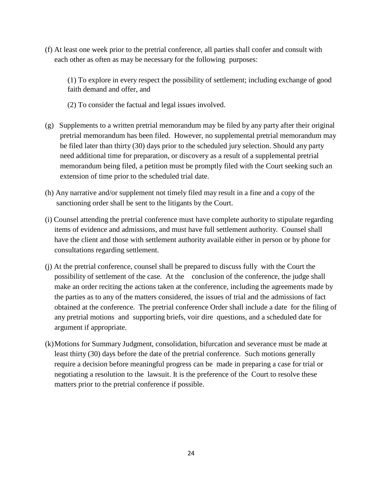(f) At least one week prior to the pretrial conference, all parties shall confer and consult with each other as often as may be necessary for the following purposes:

(1) To explore in every respect the possibility of settlement; including exchange of good faith demand and offer, and

- (2) To consider the factual and legal issues involved.
- (g) Supplements to a written pretrial memorandum may be filed by any party after their original pretrial memorandum has been filed. However, no supplemental pretrial memorandum may be filed later than thirty (30) days prior to the scheduled jury selection. Should any party need additional time for preparation, or discovery as a result of a supplemental pretrial memorandum being filed, a petition must be promptly filed with the Court seeking such an extension of time prior to the scheduled trial date.
- (h) Any narrative and/or supplement not timely filed may result in a fine and a copy of the sanctioning order shall be sent to the litigants by the Court.
- (i) Counsel attending the pretrial conference must have complete authority to stipulate regarding items of evidence and admissions, and must have full settlement authority. Counsel shall have the client and those with settlement authority available either in person or by phone for consultations regarding settlement.
- (j) At the pretrial conference, counsel shall be prepared to discuss fully with the Court the possibility of settlement of the case. At the conclusion of the conference, the judge shall make an order reciting the actions taken at the conference, including the agreements made by the parties as to any of the matters considered, the issues of trial and the admissions of fact obtained at the conference. The pretrial conference Order shall include a date for the filing of any pretrial motions and supporting briefs, voir dire questions, and a scheduled date for argument if appropriate.
- (k)Motions for Summary Judgment, consolidation, bifurcation and severance must be made at least thirty (30) days before the date of the pretrial conference. Such motions generally require a decision before meaningful progress can be made in preparing a case for trial or negotiating a resolution to the lawsuit. It is the preference of the Court to resolve these matters prior to the pretrial conference if possible.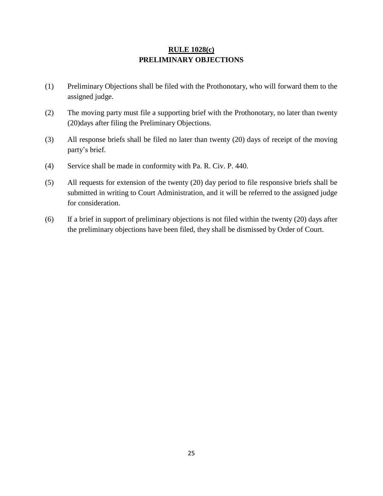## **RULE 1028(c) PRELIMINARY OBJECTIONS**

- (1) Preliminary Objections shall be filed with the Prothonotary, who will forward them to the assigned judge.
- (2) The moving party must file a supporting brief with the Prothonotary, no later than twenty (20)days after filing the Preliminary Objections.
- (3) All response briefs shall be filed no later than twenty (20) days of receipt of the moving party's brief.
- (4) Service shall be made in conformity with Pa. R. Civ. P. 440.
- (5) All requests for extension of the twenty (20) day period to file responsive briefs shall be submitted in writing to Court Administration, and it will be referred to the assigned judge for consideration.
- (6) If a brief in support of preliminary objections is not filed within the twenty (20) days after the preliminary objections have been filed, they shall be dismissed by Order of Court.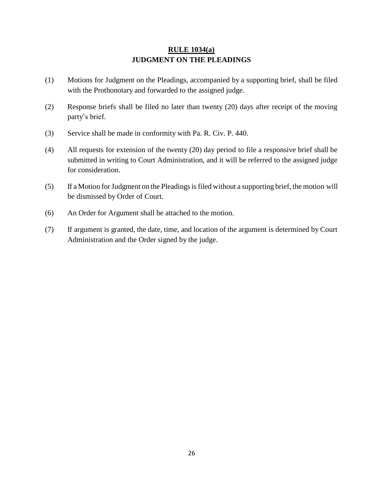## **RULE 1034(a) JUDGMENT ON THE PLEADINGS**

- (1) Motions for Judgment on the Pleadings, accompanied by a supporting brief, shall be filed with the Prothonotary and forwarded to the assigned judge.
- (2) Response briefs shall be filed no later than twenty (20) days after receipt of the moving party's brief.
- (3) Service shall be made in conformity with Pa. R. Civ. P. 440.
- (4) All requests for extension of the twenty (20) day period to file a responsive brief shall be submitted in writing to Court Administration, and it will be referred to the assigned judge for consideration.
- (5) If a Motion forJudgment on the Pleadingsisfiled without a supporting brief, the motion will be dismissed by Order of Court.
- (6) An Order for Argument shall be attached to the motion.
- (7) If argument is granted, the date, time, and location of the argument is determined by Court Administration and the Order signed by the judge.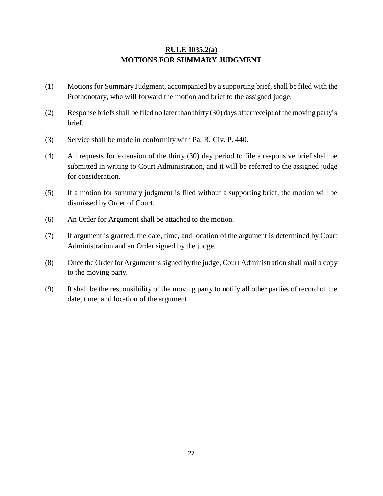## **RULE 1035.2(a) MOTIONS FOR SUMMARY JUDGMENT**

- (1) Motions for Summary Judgment, accompanied by a supporting brief, shall be filed with the Prothonotary, who will forward the motion and brief to the assigned judge.
- (2) Response briefs shall be filed no later than thirty (30) days after receipt of the moving party's brief.
- (3) Service shall be made in conformity with Pa. R. Civ. P. 440.
- (4) All requests for extension of the thirty (30) day period to file a responsive brief shall be submitted in writing to Court Administration, and it will be referred to the assigned judge for consideration.
- (5) If a motion for summary judgment is filed without a supporting brief, the motion will be dismissed by Order of Court.
- (6) An Order for Argument shall be attached to the motion.
- (7) If argument is granted, the date, time, and location of the argument is determined by Court Administration and an Order signed by the judge.
- (8) Once the Order for Argument issigned by the judge, Court Administration shall mail a copy to the moving party.
- (9) It shall be the responsibility of the moving party to notify all other parties of record of the date, time, and location of the argument.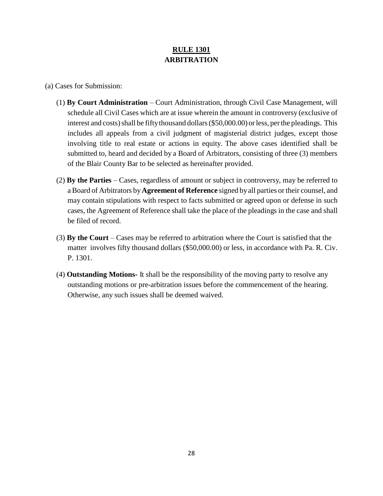## **RULE 1301 ARBITRATION**

(a) Cases for Submission:

- (1) **By Court Administration**  Court Administration, through Civil Case Management, will schedule all Civil Cases which are at issue wherein the amount in controversy (exclusive of interest and costs) shall be fifty thousand dollars (\$50,000.00) or less, per the pleadings. This includes all appeals from a civil judgment of magisterial district judges, except those involving title to real estate or actions in equity. The above cases identified shall be submitted to, heard and decided by a Board of Arbitrators, consisting of three (3) members of the Blair County Bar to be selected as hereinafter provided.
- (2) **By the Parties**  Cases, regardless of amount or subject in controversy, may be referred to aBoard of Arbitrators by**Agreement of Reference** signed byall parties or their counsel, and may contain stipulations with respect to facts submitted or agreed upon or defense in such cases, the Agreement of Reference shall take the place of the pleadings in the case and shall be filed of record.
- (3) **By the Court**  Cases may be referred to arbitration where the Court is satisfied that the matter involves fifty thousand dollars (\$50,000.00) or less, in accordance with Pa. R. Civ. P. 1301.
- (4) **Outstanding Motions-** It shall be the responsibility of the moving party to resolve any outstanding motions or pre-arbitration issues before the commencement of the hearing. Otherwise, any such issues shall be deemed waived.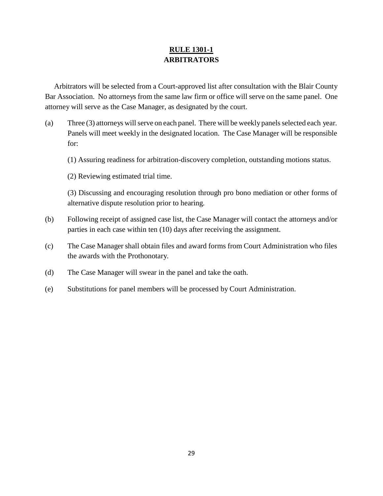## **RULE 1301-1 ARBITRATORS**

Arbitrators will be selected from a Court-approved list after consultation with the Blair County Bar Association. No attorneys from the same law firm or office will serve on the same panel. One attorney will serve as the Case Manager, as designated by the court.

- (a) Three  $(3)$  attorneys will serve on each panel. There will be weekly panels selected each year. Panels will meet weekly in the designated location. The Case Manager will be responsible for:
	- (1) Assuring readiness for arbitration-discovery completion, outstanding motions status.
	- (2) Reviewing estimated trial time.

(3) Discussing and encouraging resolution through pro bono mediation or other forms of alternative dispute resolution prior to hearing.

- (b) Following receipt of assigned case list, the Case Manager will contact the attorneys and/or parties in each case within ten (10) days after receiving the assignment.
- (c) The Case Manager shall obtain files and award forms from Court Administration who files the awards with the Prothonotary.
- (d) The Case Manager will swear in the panel and take the oath.
- (e) Substitutions for panel members will be processed by Court Administration.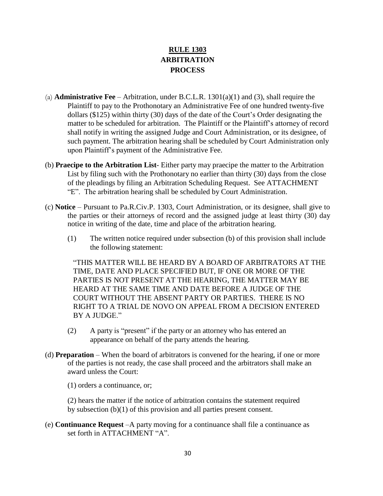## **RULE 1303 ARBITRATION PROCESS**

- (a) **Administrative Fee** Arbitration, under B.C.L.R. 1301(a)(1) and (3), shall require the Plaintiff to pay to the Prothonotary an Administrative Fee of one hundred twenty-five dollars (\$125) within thirty (30) days of the date of the Court's Order designating the matter to be scheduled for arbitration. The Plaintiff or the Plaintiff's attorney of record shall notify in writing the assigned Judge and Court Administration, or its designee, of such payment. The arbitration hearing shall be scheduled by Court Administration only upon Plaintiff's payment of the Administrative Fee.
- (b) **Praecipe to the Arbitration List** Either party may praecipe the matter to the Arbitration List by filing such with the Prothonotary no earlier than thirty (30) days from the close of the pleadings by filing an Arbitration Scheduling Request. See ATTACHMENT "E". The arbitration hearing shall be scheduled by Court Administration.
- (c) **Notice** Pursuant to Pa.R.Civ.P. 1303, Court Administration, or its designee, shall give to the parties or their attorneys of record and the assigned judge at least thirty (30) day notice in writing of the date, time and place of the arbitration hearing.
	- (1) The written notice required under subsection (b) of this provision shall include the following statement:

"THIS MATTER WILL BE HEARD BY A BOARD OF ARBITRATORS AT THE TIME, DATE AND PLACE SPECIFIED BUT, IF ONE OR MORE OF THE PARTIES IS NOT PRESENT AT THE HEARING, THE MATTER MAY BE HEARD AT THE SAME TIME AND DATE BEFORE A JUDGE OF THE COURT WITHOUT THE ABSENT PARTY OR PARTIES. THERE IS NO RIGHT TO A TRIAL DE NOVO ON APPEAL FROM A DECISION ENTERED BY A JUDGE."

- (2) A party is "present" if the party or an attorney who has entered an appearance on behalf of the party attends the hearing.
- (d) **Preparation** When the board of arbitrators is convened for the hearing, if one or more of the parties is not ready, the case shall proceed and the arbitrators shall make an award unless the Court:

(1) orders a continuance, or;

(2) hears the matter if the notice of arbitration contains the statement required by subsection (b)(1) of this provision and all parties present consent.

(e) **Continuance Request** –A party moving for a continuance shall file a continuance as set forth in ATTACHMENT "A".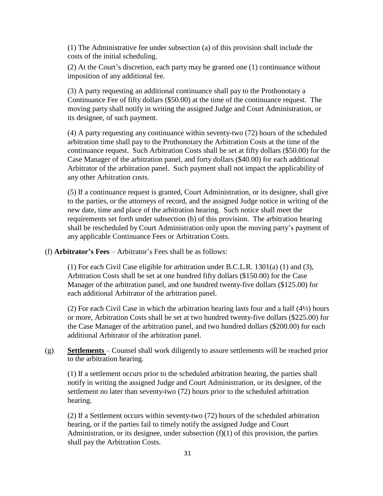(1) The Administrative fee under subsection (a) of this provision shall include the costs of the initial scheduling.

(2) At the Court's discretion, each party may be granted one (1) continuance without imposition of any additional fee.

(3) A party requesting an additional continuance shall pay to the Prothonotary a Continuance Fee of fifty dollars (\$50.00) at the time of the continuance request. The moving party shall notify in writing the assigned Judge and Court Administration, or its designee, of such payment.

(4) A party requesting any continuance within seventy-two (72) hours of the scheduled arbitration time shall pay to the Prothonotary the Arbitration Costs at the time of the continuance request. Such Arbitration Costs shall be set at fifty dollars (\$50.00) for the Case Manager of the arbitration panel, and forty dollars (\$40.00) for each additional Arbitrator of the arbitration panel. Such payment shall not impact the applicability of any other Arbitration costs.

(5) If a continuance request is granted, Court Administration, or its designee, shall give to the parties, or the attorneys of record, and the assigned Judge notice in writing of the new date, time and place of the arbitration hearing. Such notice shall meet the requirements set forth under subsection (b) of this provision. The arbitration hearing shall be rescheduled by Court Administration only upon the moving party's payment of any applicable Continuance Fees or Arbitration Costs.

(f) **Arbitrator's Fees** – Arbitrator's Fees shall be as follows:

(1) For each Civil Case eligible for arbitration under B.C.L.R. 1301(a) (1) and (3), Arbitration Costs shall be set at one hundred fifty dollars (\$150.00) for the Case Manager of the arbitration panel, and one hundred twenty-five dollars (\$125.00) for each additional Arbitrator of the arbitration panel.

(2) For each Civil Case in which the arbitration hearing lasts four and a half  $(4/2)$  hours or more, Arbitration Costs shall be set at two hundred twenty-five dollars (\$225.00) for the Case Manager of the arbitration panel, and two hundred dollars (\$200.00) for each additional Arbitrator of the arbitration panel.

(g) **Settlements** – Counsel shall work diligently to assure settlements will be reached prior to the arbitration hearing.

(1) If a settlement occurs prior to the scheduled arbitration hearing, the parties shall notify in writing the assigned Judge and Court Administration, or its designee, of the settlement no later than seventy-two (72) hours prior to the scheduled arbitration hearing.

(2) If a Settlement occurs within seventy-two (72) hours of the scheduled arbitration hearing, or if the parties fail to timely notify the assigned Judge and Court Administration, or its designee, under subsection  $(f)(1)$  of this provision, the parties shall pay the Arbitration Costs.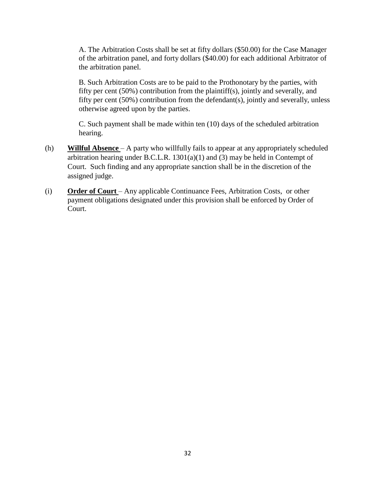A. The Arbitration Costs shall be set at fifty dollars (\$50.00) for the Case Manager of the arbitration panel, and forty dollars (\$40.00) for each additional Arbitrator of the arbitration panel.

B. Such Arbitration Costs are to be paid to the Prothonotary by the parties, with fifty per cent (50%) contribution from the plaintiff(s), jointly and severally, and fifty per cent (50%) contribution from the defendant(s), jointly and severally, unless otherwise agreed upon by the parties.

C. Such payment shall be made within ten (10) days of the scheduled arbitration hearing.

- (h) **Willful Absence** A party who willfully fails to appear at any appropriately scheduled arbitration hearing under B.C.L.R. 1301(a)(1) and (3) may be held in Contempt of Court. Such finding and any appropriate sanction shall be in the discretion of the assigned judge.
- (i) **Order of Court** Any applicable Continuance Fees, Arbitration Costs, or other payment obligations designated under this provision shall be enforced by Order of Court.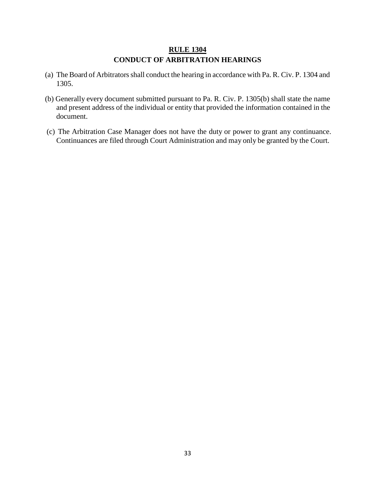## **RULE 1304 CONDUCT OF ARBITRATION HEARINGS**

- (a) The Board of Arbitratorsshall conduct the hearing in accordance with Pa. R. Civ. P. 1304 and 1305.
- (b) Generally every document submitted pursuant to Pa. R. Civ. P. 1305(b) shall state the name and present address of the individual or entity that provided the information contained in the document.
- (c) The Arbitration Case Manager does not have the duty or power to grant any continuance. Continuances are filed through Court Administration and may only be granted by the Court.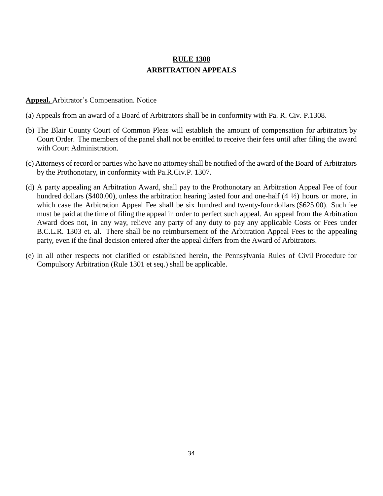## **RULE 1308 ARBITRATION APPEALS**

#### **Appeal.** Arbitrator's Compensation. Notice

- (a) Appeals from an award of a Board of Arbitrators shall be in conformity with Pa. R. Civ. P.1308.
- (b) The Blair County Court of Common Pleas will establish the amount of compensation for arbitrators by Court Order. The members of the panel shall not be entitled to receive their fees until after filing the award with Court Administration.
- (c) Attorneys of record or parties who have no attorney shall be notified of the award of the Board of Arbitrators by the Prothonotary, in conformity with Pa.R.Civ.P. 1307.
- (d) A party appealing an Arbitration Award, shall pay to the Prothonotary an Arbitration Appeal Fee of four hundred dollars (\$400.00), unless the arbitration hearing lasted four and one-half (4  $\frac{1}{2}$ ) hours or more, in which case the Arbitration Appeal Fee shall be six hundred and twenty-four dollars (\$625.00). Such fee must be paid at the time of filing the appeal in order to perfect such appeal. An appeal from the Arbitration Award does not, in any way, relieve any party of any duty to pay any applicable Costs or Fees under B.C.L.R. 1303 et. al. There shall be no reimbursement of the Arbitration Appeal Fees to the appealing party, even if the final decision entered after the appeal differs from the Award of Arbitrators.
- (e) In all other respects not clarified or established herein, the Pennsylvania Rules of Civil Procedure for Compulsory Arbitration (Rule 1301 et seq.) shall be applicable.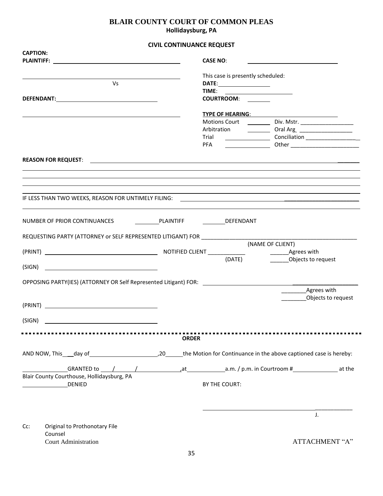## **BLAIR COUNTY COURT OF COMMON PLEAS Hollidaysburg, PA**

### **CIVIL CONTINUANCE REQUEST**

| <b>CAPTION:</b> |                                                                                        |                 |              |                                   |                                                                                                                 |                    |
|-----------------|----------------------------------------------------------------------------------------|-----------------|--------------|-----------------------------------|-----------------------------------------------------------------------------------------------------------------|--------------------|
|                 |                                                                                        | <b>CASE NO:</b> |              |                                   |                                                                                                                 |                    |
|                 |                                                                                        |                 |              | This case is presently scheduled: |                                                                                                                 |                    |
|                 | V <sub>S</sub>                                                                         |                 |              | DATE: ________________________    |                                                                                                                 |                    |
|                 |                                                                                        |                 |              |                                   |                                                                                                                 |                    |
|                 |                                                                                        |                 |              | COURTROOM:                        |                                                                                                                 |                    |
|                 |                                                                                        |                 |              |                                   |                                                                                                                 |                    |
|                 |                                                                                        |                 |              |                                   | TYPE OF <u>HEARING: TYPE OF HEARING</u><br>Motions Court <u>______________</u> Div. Mstr. _____________________ |                    |
|                 |                                                                                        |                 |              |                                   |                                                                                                                 |                    |
|                 |                                                                                        |                 | Trial        |                                   | Conciliation Conciliation                                                                                       |                    |
|                 |                                                                                        |                 | <b>PFA</b>   |                                   |                                                                                                                 |                    |
|                 |                                                                                        |                 |              |                                   |                                                                                                                 |                    |
|                 |                                                                                        |                 |              |                                   |                                                                                                                 |                    |
|                 |                                                                                        |                 |              |                                   |                                                                                                                 |                    |
|                 |                                                                                        |                 |              |                                   |                                                                                                                 |                    |
|                 |                                                                                        |                 |              |                                   |                                                                                                                 |                    |
|                 |                                                                                        |                 |              |                                   |                                                                                                                 |                    |
|                 |                                                                                        |                 |              |                                   |                                                                                                                 |                    |
|                 | NUMBER OF PRIOR CONTINUANCES <b>CONTINUES</b> PLAINTIFF DEFENDANT                      |                 |              |                                   |                                                                                                                 |                    |
|                 |                                                                                        |                 |              |                                   |                                                                                                                 |                    |
|                 |                                                                                        |                 |              |                                   |                                                                                                                 |                    |
|                 |                                                                                        |                 |              |                                   | (NAME OF CLIENT)                                                                                                |                    |
|                 |                                                                                        |                 |              |                                   |                                                                                                                 |                    |
|                 |                                                                                        |                 |              | (DATE)                            | Objects to request                                                                                              |                    |
|                 |                                                                                        |                 |              |                                   |                                                                                                                 |                    |
|                 | OPPOSING PARTY(IES) (ATTORNEY OR Self Represented Litigant) FOR: Network and the self- |                 |              |                                   |                                                                                                                 |                    |
|                 |                                                                                        |                 |              |                                   | _____________Agrees with                                                                                        |                    |
|                 |                                                                                        |                 |              |                                   |                                                                                                                 | Objects to request |
|                 |                                                                                        |                 |              |                                   |                                                                                                                 |                    |
| (SIGN)          |                                                                                        |                 |              |                                   |                                                                                                                 |                    |
|                 |                                                                                        |                 |              |                                   |                                                                                                                 |                    |
|                 |                                                                                        |                 | <b>ORDER</b> |                                   |                                                                                                                 |                    |
|                 |                                                                                        |                 |              |                                   |                                                                                                                 |                    |
|                 |                                                                                        |                 |              |                                   |                                                                                                                 |                    |
|                 |                                                                                        |                 |              |                                   |                                                                                                                 |                    |
|                 | Blair County Courthouse, Hollidaysburg, PA                                             |                 |              |                                   |                                                                                                                 |                    |
|                 | <b>DENIED</b>                                                                          |                 |              | BY THE COURT:                     |                                                                                                                 |                    |
|                 |                                                                                        |                 |              |                                   |                                                                                                                 |                    |
|                 |                                                                                        |                 |              |                                   |                                                                                                                 |                    |
|                 |                                                                                        |                 |              |                                   |                                                                                                                 |                    |
|                 |                                                                                        |                 |              |                                   |                                                                                                                 | J.                 |
| Cc:             | Original to Prothonotary File                                                          |                 |              |                                   |                                                                                                                 |                    |
|                 | Counsel                                                                                |                 |              |                                   |                                                                                                                 |                    |
|                 | Court Administration                                                                   |                 |              |                                   |                                                                                                                 | ATTACHMENT "A"     |
|                 |                                                                                        |                 |              |                                   |                                                                                                                 |                    |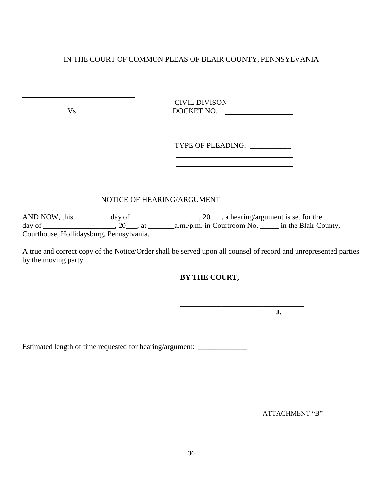CIVIL DIVISON Vs. DOCKET NO.

| <b>TYPE OF PLEADING:</b> |  |
|--------------------------|--|
|--------------------------|--|

## NOTICE OF HEARING/ARGUMENT

 $\overline{\phantom{a}}$  , which is a set of the set of the set of the set of the set of the set of the set of the set of the set of the set of the set of the set of the set of the set of the set of the set of the set of the set of th

AND NOW, this \_\_\_\_\_\_\_\_\_ day of \_\_\_\_\_\_\_\_\_\_\_\_\_\_\_\_\_\_, 20\_\_\_, a hearing/argument is set for the \_\_\_\_\_\_\_\_ day of \_\_\_\_\_\_\_\_\_\_\_\_\_\_\_\_\_\_\_, 20\_\_\_, at \_\_\_\_\_\_\_a.m./p.m. in Courtroom No. \_\_\_\_\_ in the Blair County, Courthouse, Hollidaysburg, Pennsylvania.

A true and correct copy of the Notice/Order shall be served upon all counsel of record and unrepresented parties by the moving party.

## **BY THE COURT,**

**J.**

Estimated length of time requested for hearing/argument: \_\_\_\_\_\_\_\_\_\_\_\_\_\_\_\_\_\_\_\_\_\_\_

ATTACHMENT "B"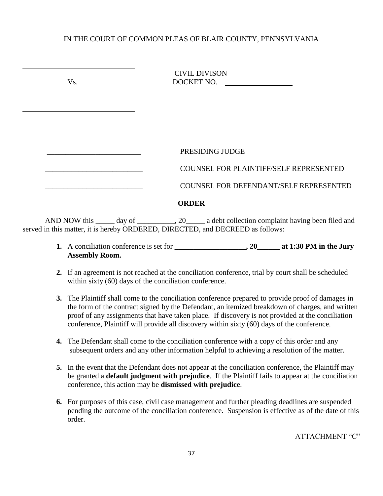| V <sub>S</sub> | <b>CIVIL DIVISON</b><br>DOCKET NO.     |
|----------------|----------------------------------------|
|                |                                        |
|                |                                        |
|                | PRESIDING JUDGE                        |
|                | COUNSEL FOR PLAINTIFF/SELF REPRESENTED |
|                | COUNSEL FOR DEFENDANT/SELF REPRESENTED |
|                | <b>ORDER</b>                           |
|                |                                        |

AND NOW this \_\_\_\_\_ day of \_\_\_\_\_\_\_\_\_, 20\_\_\_\_ a debt collection complaint having been filed and served in this matter, it is hereby ORDERED, DIRECTED, and DECREED as follows:

- **1.** A conciliation conference is set for **\_\_\_\_\_\_\_\_\_\_\_\_\_\_\_\_\_\_\_, 20\_\_\_\_\_\_ at 1:30 PM in the Jury Assembly Room.**
- **2.** If an agreement is not reached at the conciliation conference, trial by court shall be scheduled within sixty (60) days of the conciliation conference.
- **3.** The Plaintiff shall come to the conciliation conference prepared to provide proof of damages in the form of the contract signed by the Defendant, an itemized breakdown of charges, and written proof of any assignments that have taken place. If discovery is not provided at the conciliation conference, Plaintiff will provide all discovery within sixty (60) days of the conference.
- **4.** The Defendant shall come to the conciliation conference with a copy of this order and any subsequent orders and any other information helpful to achieving a resolution of the matter.
- **5.** In the event that the Defendant does not appear at the conciliation conference, the Plaintiff may be granted a **default judgment with prejudice**. If the Plaintiff fails to appear at the conciliation conference, this action may be **dismissed with prejudice**.
- **6.** For purposes of this case, civil case management and further pleading deadlines are suspended pending the outcome of the conciliation conference. Suspension is effective as of the date of this order.

ATTACHMENT "C"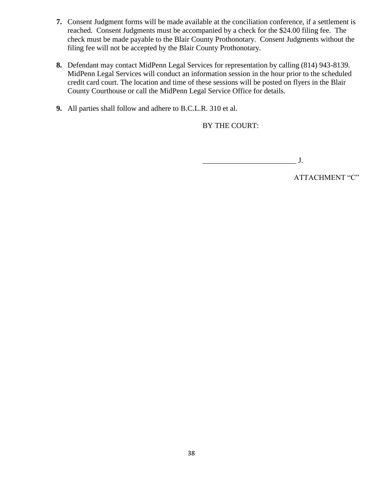- **7.** Consent Judgment forms will be made available at the conciliation conference, if a settlement is reached. Consent Judgments must be accompanied by a check for the \$24.00 filing fee. The check must be made payable to the Blair County Prothonotary. Consent Judgments without the filing fee will not be accepted by the Blair County Prothonotary.
- **8.** Defendant may contact MidPenn Legal Services for representation by calling (814) 943-8139. MidPenn Legal Services will conduct an information session in the hour prior to the scheduled credit card court. The location and time of these sessions will be posted on flyers in the Blair County Courthouse or call the MidPenn Legal Service Office for details.
- **9.** All parties shall follow and adhere to B.C.L.R. 310 et al.

## BY THE COURT:

\_\_\_\_\_\_\_\_\_\_\_\_\_\_\_\_\_\_\_\_\_\_\_\_\_ J.

ATTACHMENT "C"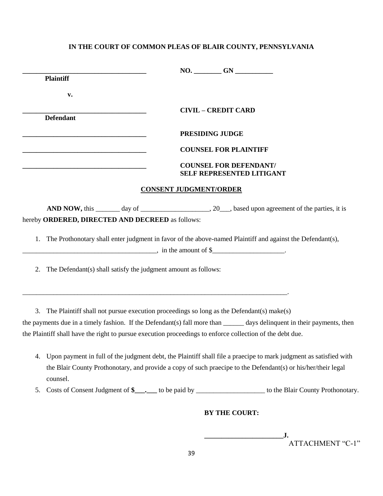|    | <b>Plaintiff</b>                                                                                                                                                                                                                               |                                                                                                                         |  |  |  |  |
|----|------------------------------------------------------------------------------------------------------------------------------------------------------------------------------------------------------------------------------------------------|-------------------------------------------------------------------------------------------------------------------------|--|--|--|--|
|    | v.                                                                                                                                                                                                                                             |                                                                                                                         |  |  |  |  |
|    |                                                                                                                                                                                                                                                | <b>CIVIL - CREDIT CARD</b>                                                                                              |  |  |  |  |
|    | <b>Defendant</b>                                                                                                                                                                                                                               |                                                                                                                         |  |  |  |  |
|    |                                                                                                                                                                                                                                                | PRESIDING JUDGE                                                                                                         |  |  |  |  |
|    |                                                                                                                                                                                                                                                | <b>COUNSEL FOR PLAINTIFF</b>                                                                                            |  |  |  |  |
|    |                                                                                                                                                                                                                                                | <b>COUNSEL FOR DEFENDANT/</b><br><b>SELF REPRESENTED LITIGANT</b>                                                       |  |  |  |  |
|    |                                                                                                                                                                                                                                                | <b>CONSENT JUDGMENT/ORDER</b>                                                                                           |  |  |  |  |
|    |                                                                                                                                                                                                                                                |                                                                                                                         |  |  |  |  |
|    | hereby ORDERED, DIRECTED AND DECREED as follows:                                                                                                                                                                                               |                                                                                                                         |  |  |  |  |
| 1. | The Prothonotary shall enter judgment in favor of the above-named Plaintiff and against the Defendant(s),<br>$\frac{1}{2}$ , in the amount of \$________________.                                                                              |                                                                                                                         |  |  |  |  |
| 2. | The Defendant(s) shall satisfy the judgment amount as follows:                                                                                                                                                                                 |                                                                                                                         |  |  |  |  |
|    | 3. The Plaintiff shall not pursue execution proceedings so long as the Defendant(s) make(s)<br>the Plaintiff shall have the right to pursue execution proceedings to enforce collection of the debt due.                                       | the payments due in a timely fashion. If the Defendant(s) fall more than ______ days delinquent in their payments, then |  |  |  |  |
| 4. | Upon payment in full of the judgment debt, the Plaintiff shall file a praecipe to mark judgment as satisfied with<br>the Blair County Prothonotary, and provide a copy of such praecipe to the Defendant(s) or his/her/their legal<br>counsel. |                                                                                                                         |  |  |  |  |
| 5. |                                                                                                                                                                                                                                                | Costs of Consent Judgment of \$_______ to be paid by _______________________ to the Blair County Prothonotary.          |  |  |  |  |
|    | <b>BY THE COURT:</b>                                                                                                                                                                                                                           |                                                                                                                         |  |  |  |  |
|    |                                                                                                                                                                                                                                                | ATTACHMENT "C-1"                                                                                                        |  |  |  |  |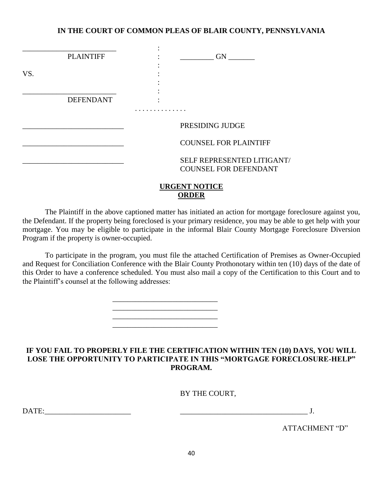|     | <b>PLAINTIFF</b> | <b>GN</b>                                                  |
|-----|------------------|------------------------------------------------------------|
| VS. |                  |                                                            |
|     | <b>DEFENDANT</b> |                                                            |
|     |                  | PRESIDING JUDGE                                            |
|     |                  | <b>COUNSEL FOR PLAINTIFF</b>                               |
|     |                  | SELF REPRESENTED LITIGANT/<br><b>COUNSEL FOR DEFENDANT</b> |
|     |                  | <b>URGENT NOTICE</b>                                       |

**ORDER**

The Plaintiff in the above captioned matter has initiated an action for mortgage foreclosure against you, the Defendant. If the property being foreclosed is your primary residence, you may be able to get help with your mortgage. You may be eligible to participate in the informal Blair County Mortgage Foreclosure Diversion Program if the property is owner-occupied.

To participate in the program, you must file the attached Certification of Premises as Owner-Occupied and Request for Conciliation Conference with the Blair County Prothonotary within ten (10) days of the date of this Order to have a conference scheduled. You must also mail a copy of the Certification to this Court and to the Plaintiff's counsel at the following addresses:

\_\_\_\_\_\_\_\_\_\_\_\_\_\_\_\_\_\_\_\_\_\_\_\_\_\_\_\_

\_\_\_\_\_\_\_\_\_\_\_\_\_\_\_\_\_\_\_\_\_\_\_\_\_\_\_\_ \_\_\_\_\_\_\_\_\_\_\_\_\_\_\_\_\_\_\_\_\_\_\_\_\_\_\_\_

### **IF YOU FAIL TO PROPERLY FILE THE CERTIFICATION WITHIN TEN (10) DAYS, YOU WILL LOSE THE OPPORTUNITY TO PARTICIPATE IN THIS "MORTGAGE FORECLOSURE-HELP" PROGRAM.**

BY THE COURT,

DATE:\_\_\_\_\_\_\_\_\_\_\_\_\_\_\_\_\_\_\_\_\_\_\_ \_\_\_\_\_\_\_\_\_\_\_\_\_\_\_\_\_\_\_\_\_\_\_\_\_\_\_\_\_\_\_\_\_\_ J.

ATTACHMENT "D"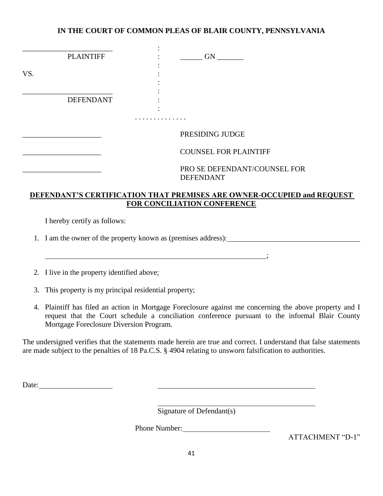|     | <b>PLAINTIFF</b> | <b>GN</b>                                        |
|-----|------------------|--------------------------------------------------|
| VS. |                  |                                                  |
|     | <b>DEFENDANT</b> |                                                  |
|     |                  |                                                  |
|     |                  | PRESIDING JUDGE                                  |
|     |                  | <b>COUNSEL FOR PLAINTIFF</b>                     |
|     |                  | PRO SE DEFENDANT/COUNSEL FOR<br><b>DEFENDANT</b> |

### **DEFENDANT'S CERTIFICATION THAT PREMISES ARE OWNER-OCCUPIED and REQUEST FOR CONCILIATION CONFERENCE**

I hereby certify as follows:

1. I am the owner of the property known as (premises address):

2. I live in the property identified above;

3. This property is my principal residential property;

4. Plaintiff has filed an action in Mortgage Foreclosure against me concerning the above property and I request that the Court schedule a conciliation conference pursuant to the informal Blair County Mortgage Foreclosure Diversion Program.

 $\mathbf{r}$ 

The undersigned verifies that the statements made herein are true and correct. I understand that false statements are made subject to the penalties of 18 Pa.C.S. § 4904 relating to unsworn falsification to authorities.

Date:

Signature of Defendant(s)

<u> 1989 - Johann Barn, mars ann an t-Amhain Aonaich an t-Aonaich an t-Aonaich ann an t-Aonaich ann an t-Aonaich</u>

Phone Number:

ATTACHMENT "D-1"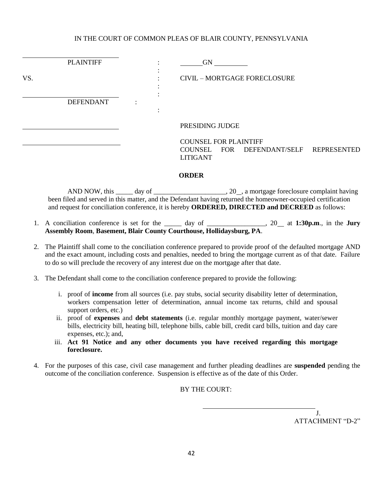l

|     | <b>PLAINTIFF</b> |  | <b>GN</b>                                                                     |                    |
|-----|------------------|--|-------------------------------------------------------------------------------|--------------------|
| VS. |                  |  | <b>CIVIL - MORTGAGE FORECLOSURE</b>                                           |                    |
|     | <b>DEFENDANT</b> |  |                                                                               |                    |
|     |                  |  | PRESIDING JUDGE                                                               |                    |
|     |                  |  | <b>COUNSEL FOR PLAINTIFF</b><br>COUNSEL FOR DEFENDANT/SELF<br><b>LITIGANT</b> | <b>REPRESENTED</b> |

#### **ORDER**

AND NOW, this \_\_\_\_\_ day of \_\_\_\_\_\_\_\_\_\_\_\_\_\_\_\_\_\_\_\_\_, 20\_, a mortgage foreclosure complaint having been filed and served in this matter, and the Defendant having returned the homeowner-occupied certification and request for conciliation conference, it is hereby **ORDERED, DIRECTED and DECREED** as follows:

- 1. A conciliation conference is set for the \_\_\_\_\_ day of \_\_\_\_\_\_\_\_\_\_\_\_\_\_\_\_\_, 20 at **1:30p.m**., in the **Jury Assembly Room**, **Basement, Blair County Courthouse, Hollidaysburg, PA**.
- 2. The Plaintiff shall come to the conciliation conference prepared to provide proof of the defaulted mortgage AND and the exact amount, including costs and penalties, needed to bring the mortgage current as of that date. Failure to do so will preclude the recovery of any interest due on the mortgage after that date.
- 3. The Defendant shall come to the conciliation conference prepared to provide the following:
	- i. proof of **income** from all sources (i.e. pay stubs, social security disability letter of determination, workers compensation letter of determination, annual income tax returns, child and spousal support orders, etc.)
	- ii. proof of **expenses** and **debt statements** (i.e. regular monthly mortgage payment, water/sewer bills, electricity bill, heating bill, telephone bills, cable bill, credit card bills, tuition and day care expenses, etc.); and,
	- iii. **Act 91 Notice and any other documents you have received regarding this mortgage foreclosure.**
- 4. For the purposes of this case, civil case management and further pleading deadlines are **suspended** pending the outcome of the conciliation conference. Suspension is effective as of the date of this Order.

BY THE COURT:

 J. ATTACHMENT "D-2"